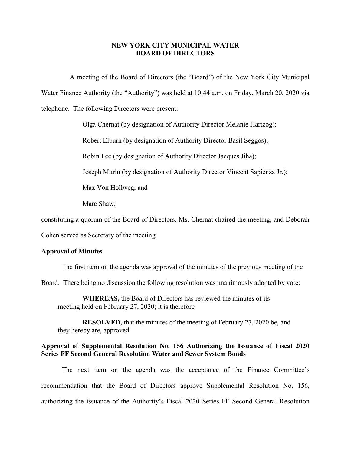## **NEW YORK CITY MUNICIPAL WATER BOARD OF DIRECTORS**

A meeting of the Board of Directors (the "Board") of the New York City Municipal Water Finance Authority (the "Authority") was held at 10:44 a.m. on Friday, March 20, 2020 via telephone. The following Directors were present:

Olga Chernat (by designation of Authority Director Melanie Hartzog);

Robert Elburn (by designation of Authority Director Basil Seggos);

Robin Lee (by designation of Authority Director Jacques Jiha);

Joseph Murin (by designation of Authority Director Vincent Sapienza Jr.);

Max Von Hollweg; and

Marc Shaw;

constituting a quorum of the Board of Directors. Ms. Chernat chaired the meeting, and Deborah

Cohen served as Secretary of the meeting.

#### **Approval of Minutes**

The first item on the agenda was approval of the minutes of the previous meeting of the

Board. There being no discussion the following resolution was unanimously adopted by vote:

**WHEREAS,** the Board of Directors has reviewed the minutes of its meeting held on February 27, 2020; it is therefore

**RESOLVED,** that the minutes of the meeting of February 27, 2020 be, and they hereby are, approved.

## **Approval of Supplemental Resolution No. 156 Authorizing the Issuance of Fiscal 2020 Series FF Second General Resolution Water and Sewer System Bonds**

The next item on the agenda was the acceptance of the Finance Committee's recommendation that the Board of Directors approve Supplemental Resolution No. 156, authorizing the issuance of the Authority's Fiscal 2020 Series FF Second General Resolution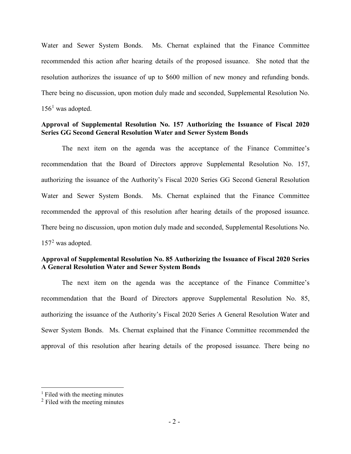Water and Sewer System Bonds. Ms. Chernat explained that the Finance Committee recommended this action after hearing details of the proposed issuance. She noted that the resolution authorizes the issuance of up to \$600 million of new money and refunding bonds. There being no discussion, upon motion duly made and seconded, Supplemental Resolution No.  $156<sup>1</sup>$  $156<sup>1</sup>$  was adopted.

# **Approval of Supplemental Resolution No. 157 Authorizing the Issuance of Fiscal 2020 Series GG Second General Resolution Water and Sewer System Bonds**

The next item on the agenda was the acceptance of the Finance Committee's recommendation that the Board of Directors approve Supplemental Resolution No. 157, authorizing the issuance of the Authority's Fiscal 2020 Series GG Second General Resolution Water and Sewer System Bonds. Ms. Chernat explained that the Finance Committee recommended the approval of this resolution after hearing details of the proposed issuance. There being no discussion, upon motion duly made and seconded, Supplemental Resolutions No.  $157<sup>2</sup>$  $157<sup>2</sup>$  $157<sup>2</sup>$  was adopted.

# **Approval of Supplemental Resolution No. 85 Authorizing the Issuance of Fiscal 2020 Series A General Resolution Water and Sewer System Bonds**

The next item on the agenda was the acceptance of the Finance Committee's recommendation that the Board of Directors approve Supplemental Resolution No. 85, authorizing the issuance of the Authority's Fiscal 2020 Series A General Resolution Water and Sewer System Bonds. Ms. Chernat explained that the Finance Committee recommended the approval of this resolution after hearing details of the proposed issuance. There being no

<span id="page-1-0"></span> $<sup>1</sup>$  Filed with the meeting minutes</sup>

<span id="page-1-1"></span><sup>2</sup> Filed with the meeting minutes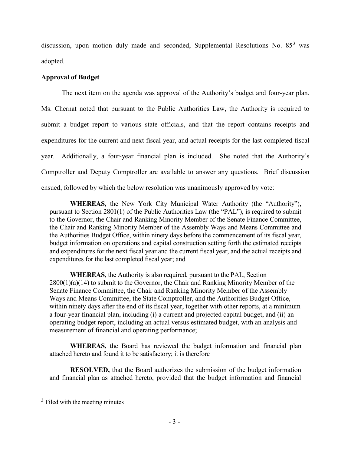discussion, upon motion duly made and seconded, Supplemental Resolutions No.  $85<sup>3</sup>$  $85<sup>3</sup>$  $85<sup>3</sup>$  was adopted.

# **Approval of Budget**

The next item on the agenda was approval of the Authority's budget and four-year plan. Ms. Chernat noted that pursuant to the Public Authorities Law, the Authority is required to submit a budget report to various state officials, and that the report contains receipts and expenditures for the current and next fiscal year, and actual receipts for the last completed fiscal year. Additionally, a four-year financial plan is included. She noted that the Authority's Comptroller and Deputy Comptroller are available to answer any questions. Brief discussion ensued, followed by which the below resolution was unanimously approved by vote:

**WHEREAS,** the New York City Municipal Water Authority (the "Authority"), pursuant to Section 2801(1) of the Public Authorities Law (the "PAL"), is required to submit to the Governor, the Chair and Ranking Minority Member of the Senate Finance Committee, the Chair and Ranking Minority Member of the Assembly Ways and Means Committee and the Authorities Budget Office, within ninety days before the commencement of its fiscal year, budget information on operations and capital construction setting forth the estimated receipts and expenditures for the next fiscal year and the current fiscal year, and the actual receipts and expenditures for the last completed fiscal year; and

**WHEREAS**, the Authority is also required, pursuant to the PAL, Section 2800(1)(a)(14) to submit to the Governor, the Chair and Ranking Minority Member of the Senate Finance Committee, the Chair and Ranking Minority Member of the Assembly Ways and Means Committee, the State Comptroller, and the Authorities Budget Office, within ninety days after the end of its fiscal year, together with other reports, at a minimum a four-year financial plan, including (i) a current and projected capital budget, and (ii) an operating budget report, including an actual versus estimated budget, with an analysis and measurement of financial and operating performance;

**WHEREAS,** the Board has reviewed the budget information and financial plan attached hereto and found it to be satisfactory; it is therefore

**RESOLVED,** that the Board authorizes the submission of the budget information and financial plan as attached hereto, provided that the budget information and financial

<span id="page-2-0"></span><sup>&</sup>lt;sup>3</sup> Filed with the meeting minutes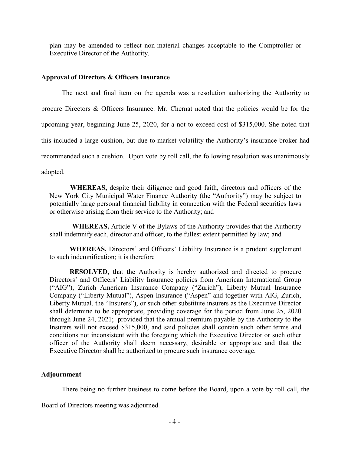plan may be amended to reflect non-material changes acceptable to the Comptroller or Executive Director of the Authority.

#### **Approval of Directors & Officers Insurance**

The next and final item on the agenda was a resolution authorizing the Authority to procure Directors & Officers Insurance. Mr. Chernat noted that the policies would be for the upcoming year, beginning June 25, 2020, for a not to exceed cost of \$315,000. She noted that this included a large cushion, but due to market volatility the Authority's insurance broker had recommended such a cushion. Upon vote by roll call, the following resolution was unanimously adopted.

**WHEREAS,** despite their diligence and good faith, directors and officers of the New York City Municipal Water Finance Authority (the "Authority") may be subject to potentially large personal financial liability in connection with the Federal securities laws or otherwise arising from their service to the Authority; and

**WHEREAS,** Article V of the Bylaws of the Authority provides that the Authority shall indemnify each, director and officer, to the fullest extent permitted by law; and

**WHEREAS,** Directors' and Officers' Liability Insurance is a prudent supplement to such indemnification; it is therefore

**RESOLVED**, that the Authority is hereby authorized and directed to procure Directors' and Officers' Liability Insurance policies from American International Group ("AIG"), Zurich American Insurance Company ("Zurich"), Liberty Mutual Insurance Company ("Liberty Mutual"), Aspen Insurance ("Aspen" and together with AIG, Zurich, Liberty Mutual, the "Insurers"), or such other substitute insurers as the Executive Director shall determine to be appropriate, providing coverage for the period from June 25, 2020 through June 24, 2021; provided that the annual premium payable by the Authority to the Insurers will not exceed \$315,000, and said policies shall contain such other terms and conditions not inconsistent with the foregoing which the Executive Director or such other officer of the Authority shall deem necessary, desirable or appropriate and that the Executive Director shall be authorized to procure such insurance coverage.

### **Adjournment**

There being no further business to come before the Board, upon a vote by roll call, the

Board of Directors meeting was adjourned.